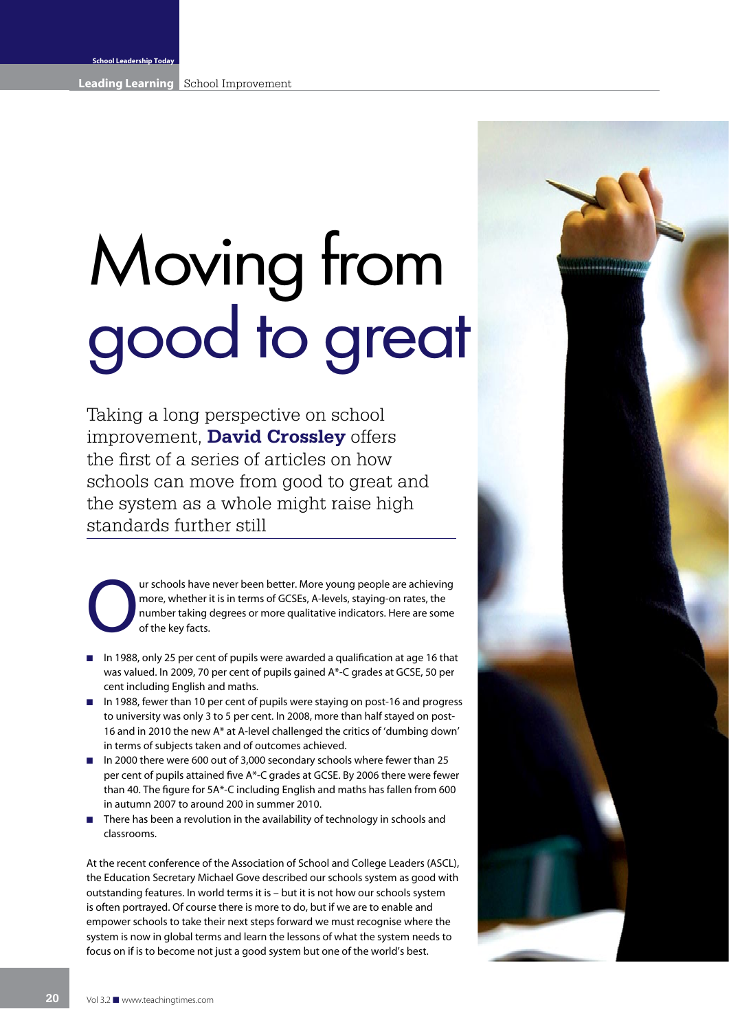# Moving from good to great

Taking a long perspective on school improvement, **David Crossley** offers the first of a series of articles on how schools can move from good to great and the system as a whole might raise high standards further still

**OUR SCHOOLS HAVE THE SCHOOLS HAVE THE SCHOOLS HAVE THE SCHOOLS HAVE THE SCHOOLS SCHOOLS AND THE SCHOOLS SCHOOLS AND SCHOOLS OF THE SCHOOLS OF THE SCHOOLS OF THE SCHOOLS OF THE SCHOOLS OF THE SCHOOLS OF THE SCHOOLS AND SCH** more, whether it is in terms of GCSEs, A-levels, staying-on rates, the number taking degrees or more qualitative indicators. Here are some of the key facts.

- **n** In 1988, only 25 per cent of pupils were awarded a qualification at age 16 that was valued. In 2009, 70 per cent of pupils gained A\*-C grades at GCSE, 50 per cent including English and maths.
- **n** In 1988, fewer than 10 per cent of pupils were staying on post-16 and progress to university was only 3 to 5 per cent. In 2008, more than half stayed on post-16 and in 2010 the new A\* at A-level challenged the critics of 'dumbing down' in terms of subjects taken and of outcomes achieved.
- In 2000 there were 600 out of 3,000 secondary schools where fewer than 25 per cent of pupils attained five A\*-C grades at GCSE. By 2006 there were fewer than 40. The figure for 5A\*-C including English and maths has fallen from 600 in autumn 2007 to around 200 in summer 2010.
- There has been a revolution in the availability of technology in schools and classrooms. n

At the recent conference of the Association of School and College Leaders (ASCL), the Education Secretary Michael Gove described our schools system as good with outstanding features. In world terms it is – but it is not how our schools system is often portrayed. Of course there is more to do, but if we are to enable and empower schools to take their next steps forward we must recognise where the system is now in global terms and learn the lessons of what the system needs to focus on if is to become not just a good system but one of the world's best.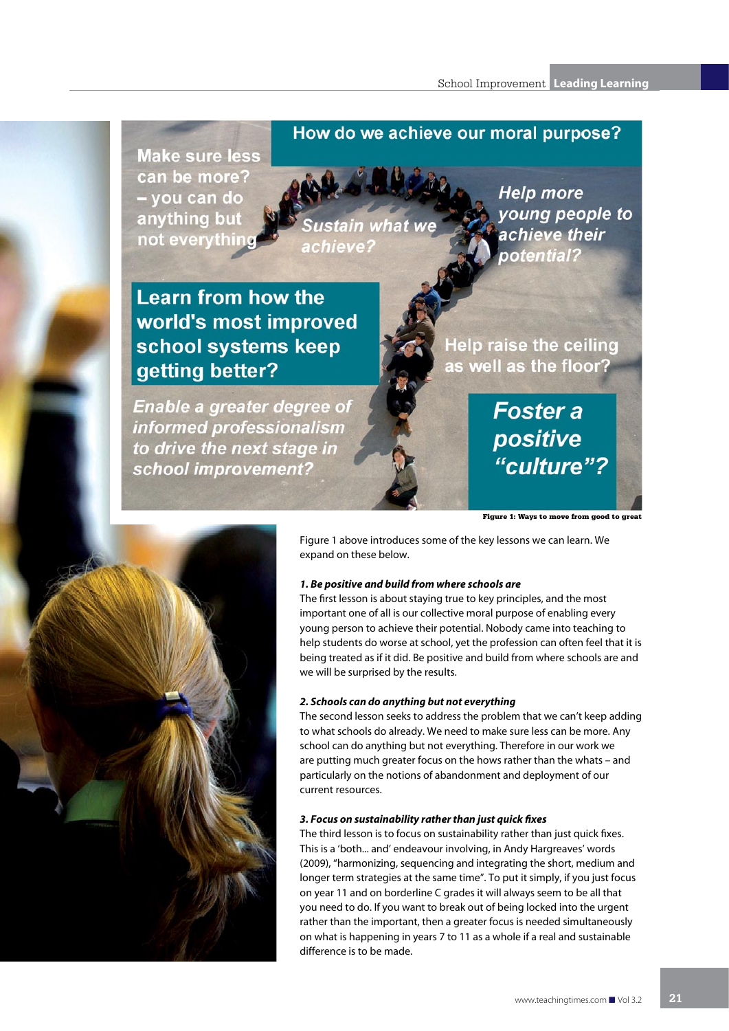### How do we achieve our moral purpose?

**Make sure less** can be more? - you can do anything but not everythin

ustain what achieve:

**Help more** young people to achieve their potential?

## **Learn from how the** world's most improved school systems keep getting better?

**Enable a greater degree of** informed professionalism to drive the next stage in school improvement?

**Help raise the ceiling** as well as the floor?

> **Foster a** positive "culture"?

Figure 1: Ways to move from good to great

Figure 1 above introduces some of the key lessons we can learn. We expand on these below.

#### *1. Be positive and build from where schools are*

The first lesson is about staying true to key principles, and the most important one of all is our collective moral purpose of enabling every young person to achieve their potential. Nobody came into teaching to help students do worse at school, yet the profession can often feel that it is being treated as if it did. Be positive and build from where schools are and we will be surprised by the results.

#### *2. Schools can do anything but not everything*

The second lesson seeks to address the problem that we can't keep adding to what schools do already. We need to make sure less can be more. Any school can do anything but not everything. Therefore in our work we are putting much greater focus on the hows rather than the whats – and particularly on the notions of abandonment and deployment of our current resources.

#### *3. Focus on sustainability rather than just quick fixes*

The third lesson is to focus on sustainability rather than just quick fixes. This is a 'both... and' endeavour involving, in Andy Hargreaves' words (2009), "harmonizing, sequencing and integrating the short, medium and longer term strategies at the same time". To put it simply, if you just focus on year 11 and on borderline C grades it will always seem to be all that you need to do. If you want to break out of being locked into the urgent rather than the important, then a greater focus is needed simultaneously on what is happening in years 7 to 11 as a whole if a real and sustainable difference is to be made.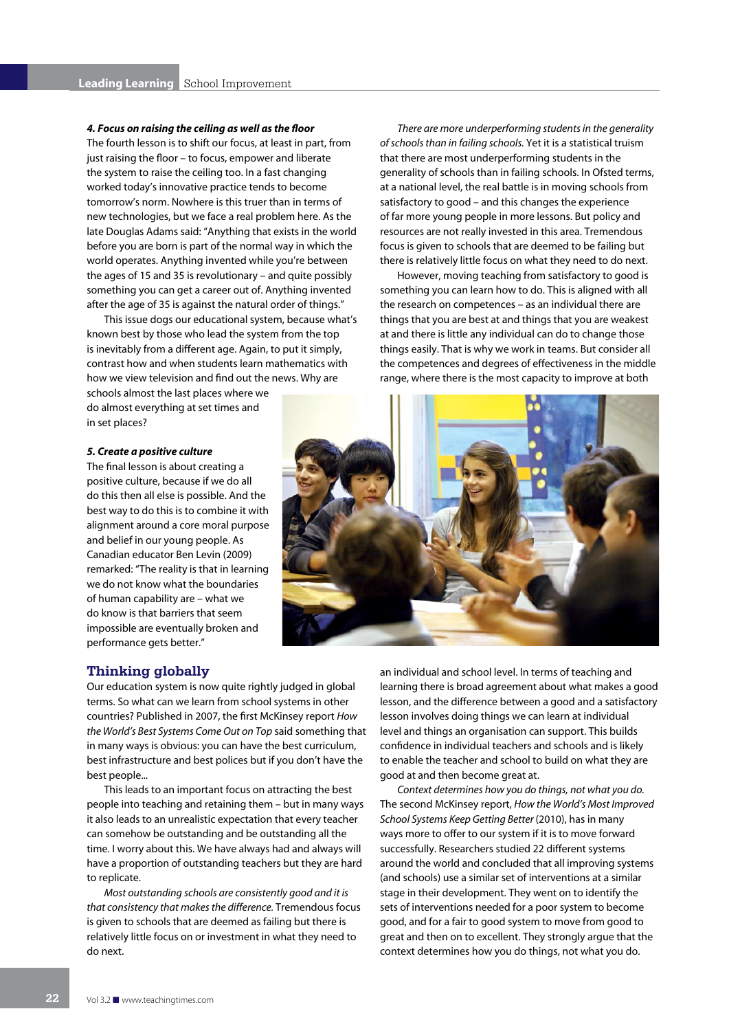#### *4. Focus on raising the ceiling as well as the floor*

The fourth lesson is to shift our focus, at least in part, from just raising the floor – to focus, empower and liberate the system to raise the ceiling too. In a fast changing worked today's innovative practice tends to become tomorrow's norm. Nowhere is this truer than in terms of new technologies, but we face a real problem here. As the late Douglas Adams said: "Anything that exists in the world before you are born is part of the normal way in which the world operates. Anything invented while you're between the ages of 15 and 35 is revolutionary – and quite possibly something you can get a career out of. Anything invented after the age of 35 is against the natural order of things."

This issue dogs our educational system, because what's known best by those who lead the system from the top is inevitably from a different age. Again, to put it simply, contrast how and when students learn mathematics with how we view television and find out the news. Why are

schools almost the last places where we do almost everything at set times and in set places?

#### *5. Create a positive culture*

The final lesson is about creating a positive culture, because if we do all do this then all else is possible. And the best way to do this is to combine it with alignment around a core moral purpose and belief in our young people. As Canadian educator Ben Levin (2009) remarked: "The reality is that in learning we do not know what the boundaries of human capability are – what we do know is that barriers that seem impossible are eventually broken and performance gets better."

*There are more underperforming students in the generality of schools than in failing schools.* Yet it is a statistical truism that there are most underperforming students in the generality of schools than in failing schools. In Ofsted terms, at a national level, the real battle is in moving schools from satisfactory to good – and this changes the experience of far more young people in more lessons. But policy and resources are not really invested in this area. Tremendous focus is given to schools that are deemed to be failing but there is relatively little focus on what they need to do next.

However, moving teaching from satisfactory to good is something you can learn how to do. This is aligned with all the research on competences – as an individual there are things that you are best at and things that you are weakest at and there is little any individual can do to change those things easily. That is why we work in teams. But consider all the competences and degrees of effectiveness in the middle range, where there is the most capacity to improve at both



#### **Thinking globally**

Our education system is now quite rightly judged in global terms. So what can we learn from school systems in other countries? Published in 2007, the first McKinsey report *How the World's Best Systems Come Out on Top* said something that in many ways is obvious: you can have the best curriculum, best infrastructure and best polices but if you don't have the best people...

This leads to an important focus on attracting the best people into teaching and retaining them – but in many ways it also leads to an unrealistic expectation that every teacher can somehow be outstanding and be outstanding all the time. I worry about this. We have always had and always will have a proportion of outstanding teachers but they are hard to replicate.

*Most outstanding schools are consistently good and it is that consistency that makes the difference.* Tremendous focus is given to schools that are deemed as failing but there is relatively little focus on or investment in what they need to do next.

an individual and school level. In terms of teaching and learning there is broad agreement about what makes a good lesson, and the difference between a good and a satisfactory lesson involves doing things we can learn at individual level and things an organisation can support. This builds confidence in individual teachers and schools and is likely to enable the teacher and school to build on what they are good at and then become great at.

*Context determines how you do things, not what you do.*  The second McKinsey report, *How the World's Most Improved School Systems Keep Getting Better* (2010), has in many ways more to offer to our system if it is to move forward successfully. Researchers studied 22 different systems around the world and concluded that all improving systems (and schools) use a similar set of interventions at a similar stage in their development. They went on to identify the sets of interventions needed for a poor system to become good, and for a fair to good system to move from good to great and then on to excellent. They strongly argue that the context determines how you do things, not what you do.